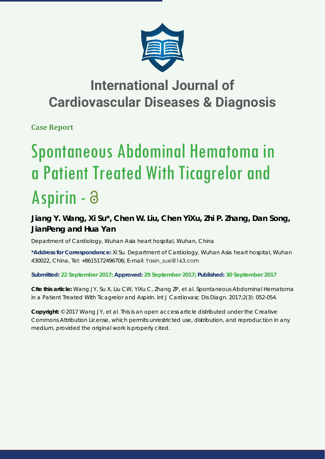

## **International Journal of Cardiovascular Diseases & Diagnosis**

**Case Report**

# Spontaneous Abdominal Hematoma in a Patient Treated With Ticagrelor and Aspirin -

### **Jiang Y. Wang, Xi Su\*, Chen W. Liu, Chen YiXu, Zhi P. Zhang, Dan Song, JianPeng and Hua Yan**

*Department of Cardiology, Wuhan Asia heart hospital, Wuhan, China*

**\*Address for Correspondence:** Xi Su. Department of Cardiology, Wuhan Asia heart hospital, Wuhan 430022, China, Tel: +8615172496706; E-mail:

**Submitted: 22 September 2017; Approved: 29 September 2017; Published: 30 September 2017**

**Cite this article:** Wang JY, Su X, Liu CW, YiXu C, Zhang ZP, et al. Spontaneous Abdominal Hematoma in a Patient Treated With Ticagrelor and Aspirin. Int J Cardiovasc Dis Diagn. 2017;2(3): 052-054.

**Copyright:** © 2017 Wang JY, et al. This is an open access article distributed under the Creative Commons Attribution License, which permits unrestricted use, distribution, and reproduction in any medium, provided the original work is properly cited.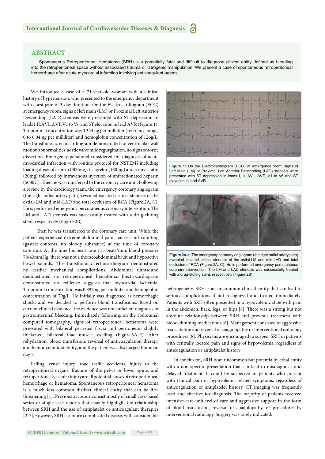#### **ABSTRACT**

Spontaneous Retroperitoneal Hematoma (SRH) is a potentially fatal and difficult to diagnose clinical entity defined as bleeding into the retroperitoneal space without associated trauma or iatrogenic manipulation. We present a case of spontaneous retroperitoneal hemorrhage after acute myocardial infarction involving anticoagulant agents.

We introduce a case of a 71-year-old woman with a clinical history of hypertension, who presented to the emergency department with chest pain of 3-day duration. On the Electrocardiogram (ECG) at emergency room, signs of left main (LM) or Proximal Left Anterior Descending (LAD) stenosis were presented with ST depression in leads I,II,AVL,AVF,V1 to V6 and ST elevation in lead AVR (Figure.1). Troponin I concentration was 0.324 ng per milliliter (reference range, 0 to 0.04 ng per milliliter) and hemoglobin concentration of 126g/L. The transthoracic echocardiogram demonstrated no ventricular wall motion abnormalities, aortic valve mild regurgitation, no signs of aortic dissection. Emergency personnel considered the diagnosis of acute myocardial infarction with routine protocol for NSTEMI including loading doses of aspirin (300mg), ticagrelor (180mg) and rosuvastatin (20mg) followed by intravenous injection of unfractionated heparin (5000U). Then he was transferred to the coronary care unit. Following a review by the cardiology team, the emergency coronary angiogram (the right radial artery path) revealed isolated critical stenosis of the ostial-LM and mid-LAD and total occlusion of RCA (Figure.2A, C). He is performed emergency percutaneous coronary intervention. The LM and LAD stenosis was successfully treated with a drug-eluting stent, respectively (Figure.2B).

Then he was transferred to the coronary care unit. While the patient experienced extreme abdominal pain, nausea and vomiting (gastric contents, no bloody substance) at the time of coronary care unit. At the time his heart rate 115 beats/min, blood pressure 78/43mmHg, there was not a thoracoabdominal bruit and hypoactive bowel sounds. The transthoracic echocardiogram demonstrated no cardiac mechanical complications. Abdominal ultrasound demonstrated no retroperitoneal hematoma. Electrocardiogram demonstrated no evidence suggests that myocardial ischemia. Troponin I concentration was 0.892 ng per milliliter and hemoglobin concentration of 79g/L. He initially was diagnosed as hemorrhagic shock, and we decided to perform blood transfusions. Based on current clinical evidence, the evidence was not sufficient diagnosis of gastrointestinal bleeding. Immediately following, on the abdominal computed tomography, signs of retroperitoneal hematoma were presented with bilateral perirenal fascia and peritoneum slightly thickened, bilateral iliac muscle swelling (Figure.3A-E). After rehydration, blood transfusion, reversal of anticoagulation therapy and hemodynamic stability, and the patient was discharged home on day 7.

Falling, crush injury, road traffic accidents, injury to the retroperitoneal organs, fracture of the pelvis or lower spine, and retroperitoneal vascular injury are all potential causes of retroperitoneal hemorrhage or hematoma. Spontaneous retroperitoneal hematoma is a much less common distinct clinical entity that can be lifethreatening [1]. Previous accounts consist mostly of small case-based series or single case reports that usually highlight the relationship between SRH and the use of antiplatelet or anticoagulant therapies [2-7].However, SRH is a more complicated disease, with considerable



**Figure 1:** On the Electrocardiogram (ECG) at emergency room, signs of Left Main (LM) or Proximal Left Anterior Descending (LAD) stenosis were presented with ST depression in leads I, II, AVL, AVF, V1 to V6 and ST elevation in lead AVR.



**Figure 2a-c:** The emergency coronary angiogram (the right radial artery path) revealed isolated critical stenosis of the ostial-LM and mid-LAD and total occlusion of RCA (Figure.2A, C). He is performed emergency percutaneous coronary intervention. The LM and LAD stenosis was successfully treated with a drug-eluting stent, respectively (Figure.2B).

heterogeneity. SRH is an uncommon clinical entity that can lead to serious complications if not recognized and treated immediately. Patients with SRH often presented in a hypovolemic state with pain in the abdomen, back, legs, or hips [8]. There was a strong but not absolute relationship between SRH and previous treatment with blood-thinning medications [8]. Management consisted of aggressive resuscitation and reversal of coagulopathy or interventional radiology procedures [8]. Physicians are encouraged to suspect SRH in patients with centrally located pain and signs of hypovolemia, regardless of anticoagulation or antiplatelet history.

In conclusion, SRH is an uncommon but potentially lethal entity with a non-specific presentation that can lead to misdiagnosis and delayed treatment. It could be suspected in patients who present with truncal pain or hypovolemia-related symptoms, regardless of anticoagulation or antiplatelet history. CT imaging was frequently used and effective for diagnosis. The majority of patients received intensive-care-unitlevel of care and aggressive support in the form of blood transfusion, reversal of coagulopathy, or procedures by interventional radiology. Surgery was rarely indicated.